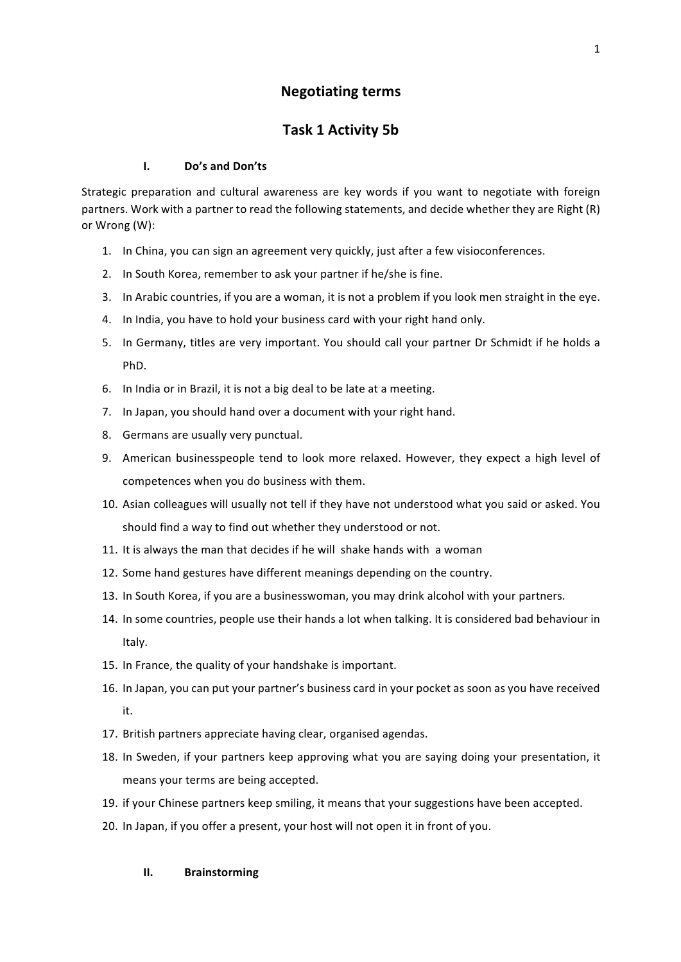# **Negotiating terms**

# **Task 1 Activity 5b**

### **I.** Do's and Don'ts

Strategic preparation and cultural awareness are key words if you want to negotiate with foreign partners. Work with a partner to read the following statements, and decide whether they are Right (R) or Wrong (W):

- 1. In China, you can sign an agreement very quickly, just after a few visioconferences.
- 2. In South Korea, remember to ask your partner if he/she is fine.
- 3. In Arabic countries, if you are a woman, it is not a problem if you look men straight in the eye.
- 4. In India, you have to hold your business card with your right hand only.
- 5. In Germany, titles are very important. You should call your partner Dr Schmidt if he holds a PhD.
- 6. In India or in Brazil, it is not a big deal to be late at a meeting.
- 7. In Japan, you should hand over a document with your right hand.
- 8. Germans are usually very punctual.
- 9. American businesspeople tend to look more relaxed. However, they expect a high level of competences when you do business with them.
- 10. Asian colleagues will usually not tell if they have not understood what you said or asked. You should find a way to find out whether they understood or not.
- 11. It is always the man that decides if he will shake hands with a woman
- 12. Some hand gestures have different meanings depending on the country.
- 13. In South Korea, if you are a businesswoman, you may drink alcohol with your partners.
- 14. In some countries, people use their hands a lot when talking. It is considered bad behaviour in Italy.
- 15. In France, the quality of your handshake is important.
- 16. In Japan, you can put your partner's business card in your pocket as soon as you have received it.
- 17. British partners appreciate having clear, organised agendas.
- 18. In Sweden, if your partners keep approving what you are saying doing your presentation, it means your terms are being accepted.
- 19. if your Chinese partners keep smiling, it means that your suggestions have been accepted.
- 20. In Japan, if you offer a present, your host will not open it in front of you.

### **II. Brainstorming**